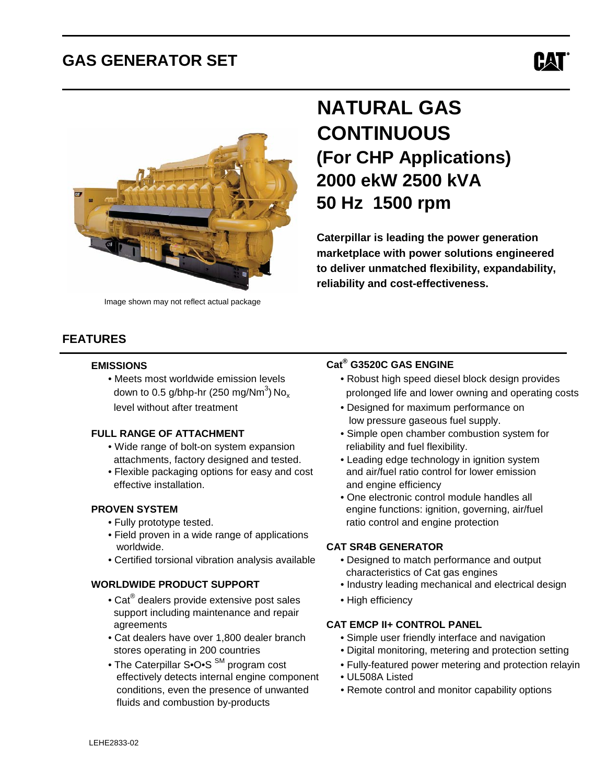## **GAS GENERATOR SET**





 $\overline{a}$ 

Image shown may not reflect actual package

### **FEATURES**

#### **EMISSIONS**

down to 0.5 g/bhp-hr (250 mg/Nm<sup>3</sup>) No<sub>x</sub>

- Wide range of bolt-on system expansion reliability and fuel flexibility.
- effective installation. The contract of the efficiency and engine efficiency

- 
- Field proven in a wide range of applications worldwide. **CAT SR4B GENERATOR**
- Certified torsional vibration analysis available Designed to match performance and output

- Cat<sup>®</sup> dealers provide extensive post sales  $\bullet$  High efficiency support including maintenance and repair agreements **CAT EMCP II+ CONTROL PANEL**
	-
	- effectively detects internal engine component UL508A Listed fluids and combustion by-products

# **NATURAL GAS CONTINUOUS (For CHP Applications) 2000 ekW 2500 kVA 50 Hz 1500 rpm**

 **Caterpillar is leading the power generation marketplace with power solutions engineered to deliver unmatched flexibility, expandability, reliability and cost-effectiveness.**

#### **G3520C GAS ENGINE**

- Meets most worldwide emission levels Robust high speed diesel block design provides prolonged life and lower owning and operating costs
- level without after treatment  **Designed for maximum performance on** low pressure gaseous fuel supply.
- **FULL RANGE OF ATTACHMENT** Simple open chamber combustion system for
	- attachments, factory designed and tested. Leading edge technology in ignition system • Flexible packaging options for easy and cost and air/fuel ratio control for lower emission
- One electronic control module handles all **PROVEN SYSTEM EXAMPLE 2018 THE ENGINEERING CONSUMING A REAL EXAMPLE 2019 THE PROVEN SYSTEM** • Fully prototype tested. The ratio control and engine protection

- characteristics of Cat gas engines
- **WORLDWIDE PRODUCT SUPPORT** Industry leading mechanical and electrical design
	-

- Cat dealers have over 1,800 dealer branch Simple user friendly interface and navigation
- stores operating in 200 countries Digital monitoring, metering and protection setting
- The Caterpillar S•O•S<sup>SM</sup> program cost Fully-featured power metering and protection relayin
	-
	- conditions, even the presence of unwanted Remote control and monitor capability options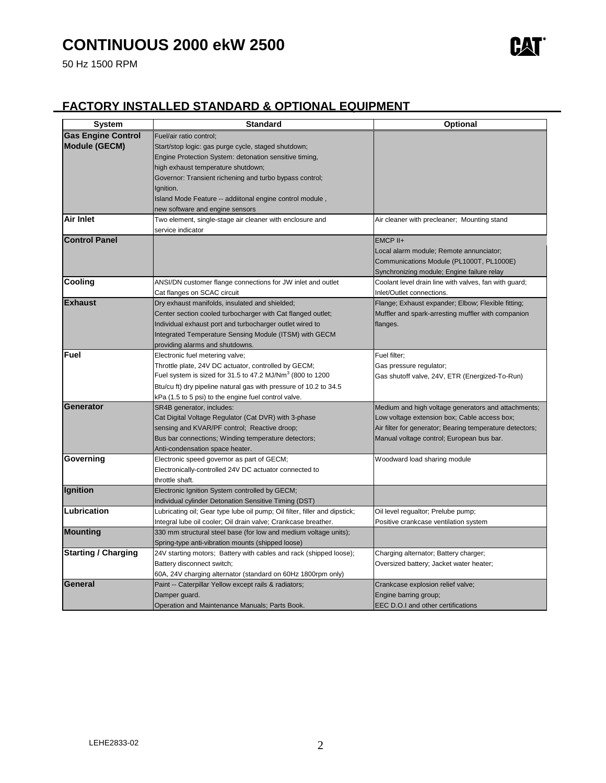## **CONTINUOUS 2000 ekW 2500**

50 Hz 1500 RPM



### **FACTORY INSTALLED STANDARD & OPTIONAL EQUIPMENT**

| <b>System</b>              | <b>Standard</b>                                                                                                    | <b>Optional</b>                                          |
|----------------------------|--------------------------------------------------------------------------------------------------------------------|----------------------------------------------------------|
| <b>Gas Engine Control</b>  | Fuel/air ratio control;                                                                                            |                                                          |
| <b>Module (GECM)</b>       | Start/stop logic: gas purge cycle, staged shutdown;                                                                |                                                          |
|                            | Engine Protection System: detonation sensitive timing,                                                             |                                                          |
|                            | high exhaust temperature shutdown;                                                                                 |                                                          |
|                            | Governor: Transient richening and turbo bypass control;                                                            |                                                          |
|                            | Ignition.                                                                                                          |                                                          |
|                            | Island Mode Feature -- addiitonal engine control module,                                                           |                                                          |
|                            | new software and engine sensors                                                                                    |                                                          |
| Air Inlet                  | Two element, single-stage air cleaner with enclosure and                                                           | Air cleaner with precleaner; Mounting stand              |
|                            | service indicator                                                                                                  |                                                          |
| <b>Control Panel</b>       |                                                                                                                    | EMCP II+                                                 |
|                            |                                                                                                                    | Local alarm module; Remote annunciator;                  |
|                            |                                                                                                                    | Communications Module (PL1000T, PL1000E)                 |
|                            |                                                                                                                    | Synchronizing module; Engine failure relay               |
| <b>Cooling</b>             | ANSI/DN customer flange connections for JW inlet and outlet                                                        | Coolant level drain line with valves, fan with guard;    |
| <b>Exhaust</b>             | Cat flanges on SCAC circuit                                                                                        | Inlet/Outlet connections.                                |
|                            | Dry exhaust manifolds, insulated and shielded;                                                                     | Flange; Exhaust expander; Elbow; Flexible fitting;       |
|                            | Center section cooled turbocharger with Cat flanged outlet;                                                        | Muffler and spark-arresting muffler with companion       |
|                            | Individual exhaust port and turbocharger outlet wired to<br>Integrated Temperature Sensing Module (ITSM) with GECM | flanges.                                                 |
|                            | providing alarms and shutdowns.                                                                                    |                                                          |
| Fuel                       | Electronic fuel metering valve;                                                                                    | Fuel filter;                                             |
|                            | Throttle plate, 24V DC actuator, controlled by GECM;                                                               | Gas pressure regulator;                                  |
|                            | Fuel system is sized for 31.5 to 47.2 MJ/Nm <sup>3</sup> (800 to 1200)                                             | Gas shutoff valve, 24V, ETR (Energized-To-Run)           |
|                            | Btu/cu ft) dry pipeline natural gas with pressure of 10.2 to 34.5                                                  |                                                          |
|                            | kPa (1.5 to 5 psi) to the engine fuel control valve.                                                               |                                                          |
| Generator                  | SR4B generator, includes:                                                                                          | Medium and high voltage generators and attachments;      |
|                            | Cat Digital Voltage Regulator (Cat DVR) with 3-phase                                                               | Low voltage extension box; Cable access box;             |
|                            | sensing and KVAR/PF control; Reactive droop;                                                                       | Air filter for generator; Bearing temperature detectors; |
|                            | Bus bar connections; Winding temperature detectors;                                                                | Manual voltage control; European bus bar.                |
|                            | Anti-condensation space heater.                                                                                    |                                                          |
| Governing                  | Electronic speed governor as part of GECM;                                                                         | Woodward load sharing module                             |
|                            | Electronically-controlled 24V DC actuator connected to                                                             |                                                          |
|                            | throttle shaft.                                                                                                    |                                                          |
| <b>Ignition</b>            | Electronic Ignition System controlled by GECM;                                                                     |                                                          |
|                            | Individual cylinder Detonation Sensitive Timing (DST)                                                              |                                                          |
| Lubrication                | Lubricating oil; Gear type lube oil pump; Oil filter, filler and dipstick;                                         | Oil level regualtor; Prelube pump;                       |
|                            | Integral lube oil cooler; Oil drain valve; Crankcase breather.                                                     | Positive crankcase ventilation system                    |
| <b>Mounting</b>            | 330 mm structural steel base (for low and medium voltage units);                                                   |                                                          |
|                            | Spring-type anti-vibration mounts (shipped loose)                                                                  |                                                          |
| <b>Starting / Charging</b> | 24V starting motors; Battery with cables and rack (shipped loose);                                                 | Charging alternator; Battery charger;                    |
|                            | Battery disconnect switch;                                                                                         | Oversized battery; Jacket water heater;                  |
|                            | 60A, 24V charging alternator (standard on 60Hz 1800rpm only)                                                       |                                                          |
| General                    | Paint -- Caterpillar Yellow except rails & radiators;                                                              | Crankcase explosion relief valve;                        |
|                            | Damper guard.                                                                                                      | Engine barring group;                                    |
|                            | Operation and Maintenance Manuals; Parts Book.                                                                     | EEC D.O.I and other certifications                       |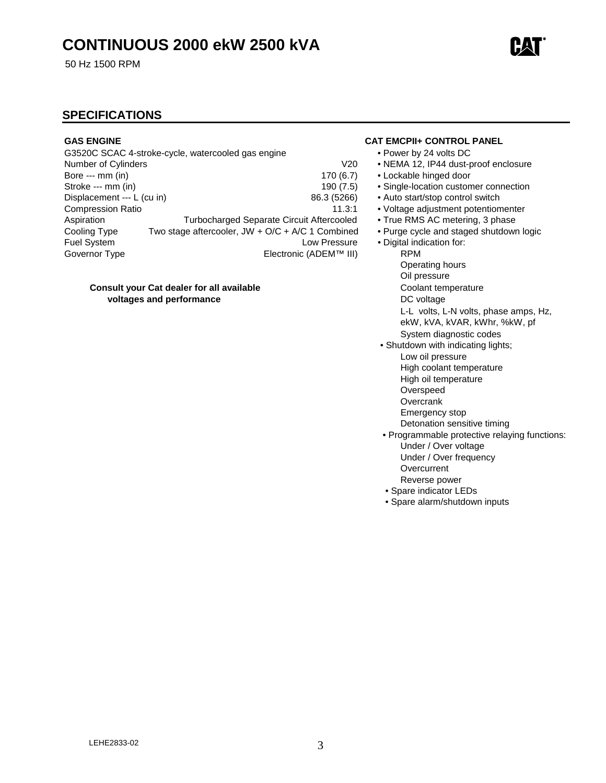50 Hz 1500 RPM

#### **SPECIFICATIONS**

|                            | G3520C SCAC 4-stroke-cycle, watercooled gas engine | • Power by        |
|----------------------------|----------------------------------------------------|-------------------|
| Number of Cylinders        | V <sub>20</sub>                                    | $\bullet$ NEMA 12 |
| Bore --- mm (in)           | 170(6.7)                                           | • Lockable        |
| Stroke --- mm (in)         | 190(7.5)                                           | • Single-loo      |
| Displacement --- L (cu in) | 86.3 (5266)                                        | • Auto start      |
| <b>Compression Ratio</b>   | 11.3:1                                             | • Voltage a       |
| Aspiration                 | <b>Turbocharged Separate Circuit Aftercooled</b>   | • True RM         |
| Cooling Type               | Two stage aftercooler, $JW + O/C + A/C$ 1 Combined | • Purge cy        |
| Fuel System                | Low Pressure                                       | • Digital ind     |
| Governor Type              | Electronic (ADEM™ III)                             | <b>RPM</b>        |

#### **Consult your Cat dealer for all available <br>Coolant temperature voltages and performance** DC voltage

#### **GAS ENGINE CAT EMCPII+ CONTROL PANEL**

- Power by 24 volts DC
- 0 NEMA 12, IP44 dust-proof enclosure
- 7) Lockable hinged door
- 5) Single-location customer connection
- $\delta$ ) Auto start/stop control switch
- 1 Voltage adjustment potentiomenter
- d True RMS AC metering, 3 phase
	- Purge cycle and staged shutdown logic
- $\ddot{e}$  Digital indication for:
	- Operating hours
	- Oil pressure
	-
	-
	- L-L volts, L-N volts, phase amps, Hz, ekW, kVA, kVAR, kWhr, %kW, pf
	- System diagnostic codes
	- Shutdown with indicating lights; Low oil pressure High coolant temperature
		- High oil temperature
		- Overspeed
		- **Overcrank**
		- Emergency stop
		- Detonation sensitive timing
	- Programmable protective relaying functions: Under / Over voltage Under / Over frequency **Overcurrent**  Reverse power
		- Spare indicator LEDs
	- Spare alarm/shutdown inputs

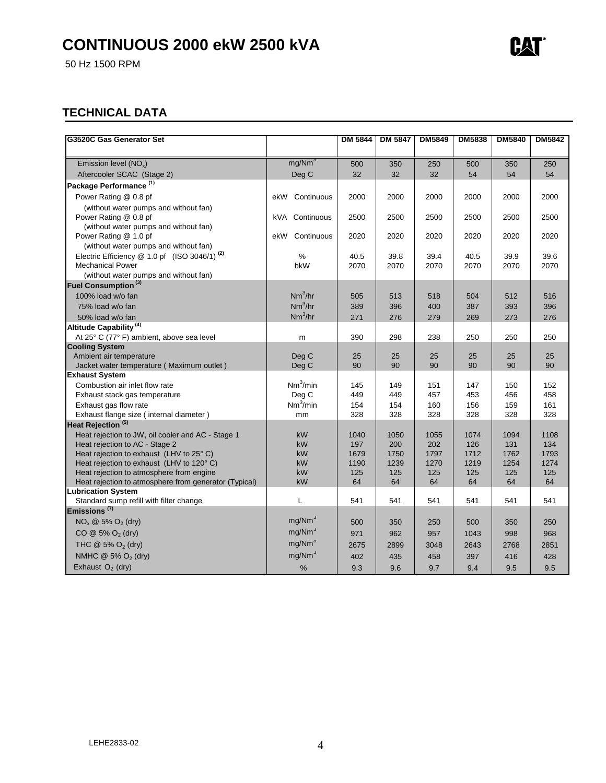50 Hz 1500 RPM

### **TECHNICAL DATA**

| G3520C Gas Generator Set                                      |                      | <b>DM 5844</b> | <b>DM 5847</b> | <b>DM5849</b> | <b>DM5838</b> | <b>DM5840</b> | <b>DM5842</b> |
|---------------------------------------------------------------|----------------------|----------------|----------------|---------------|---------------|---------------|---------------|
|                                                               |                      |                |                |               |               |               |               |
| Emission level $(NO_x)$                                       | mg/Nm <sup>3</sup>   | 500            | 350            | 250           | 500           | 350           | 250           |
| Aftercooler SCAC (Stage 2)                                    | Deg C                | 32             | 32             | 32            | 54            | 54            | 54            |
| Package Performance <sup>(1)</sup>                            |                      |                |                |               |               |               |               |
| Power Rating @ 0.8 pf                                         | Continuous<br>ekW    | 2000           | 2000           | 2000          | 2000          | 2000          | 2000          |
| (without water pumps and without fan)                         |                      |                |                |               |               |               |               |
| Power Rating @ 0.8 pf                                         | kVA Continuous       | 2500           | 2500           | 2500          | 2500          | 2500          | 2500          |
| (without water pumps and without fan)                         |                      |                |                |               |               |               |               |
| Power Rating @ 1.0 pf                                         | Continuous<br>ekW    | 2020           | 2020           | 2020          | 2020          | 2020          | 2020          |
| (without water pumps and without fan)                         |                      |                |                |               |               |               |               |
| Electric Efficiency @ 1.0 pf (ISO 3046/1) <sup>(2)</sup>      | %                    | 40.5           | 39.8           | 39.4          | 40.5          | 39.9          | 39.6          |
| <b>Mechanical Power</b>                                       | bkW                  | 2070           | 2070           | 2070          | 2070          | 2070          | 2070          |
| (without water pumps and without fan)                         |                      |                |                |               |               |               |               |
| Fuel Consumption <sup>(3)</sup>                               |                      |                |                |               |               |               |               |
| 100% load w/o fan                                             | $Nm^3/hr$            | 505            | 513            | 518           | 504           | 512           | 516           |
| 75% load w/o fan                                              | $Nm^3/hr$            | 389            | 396            | 400           | 387           | 393           | 396           |
| 50% load w/o fan                                              | $Nm^3/hr$            | 271            | 276            | 279           | 269           | 273           | 276           |
| Altitude Capability <sup>(4)</sup>                            |                      |                |                |               |               |               |               |
| At 25° C (77° F) ambient, above sea level                     | m                    | 390            | 298            | 238           | 250           | 250           | 250           |
| <b>Cooling System</b>                                         |                      |                |                |               |               |               |               |
| Ambient air temperature                                       | Deg C                | 25             | 25             | 25            | 25            | 25            | 25            |
| Jacket water temperature (Maximum outlet)                     | Deg C                | 90             | 90             | 90            | 90            | 90            | 90            |
| <b>Exhaust System</b>                                         |                      |                |                |               |               |               |               |
| Combustion air inlet flow rate                                | Nm <sup>3</sup> /min | 145            | 149            | 151           | 147           | 150           | 152           |
| Exhaust stack gas temperature                                 | Deg C                | 449            | 449            | 457           | 453           | 456           | 458           |
| Exhaust gas flow rate                                         | $Nm^3/min$           | 154            | 154            | 160           | 156           | 159           | 161           |
| Exhaust flange size (internal diameter)                       | mm                   | 328            | 328            | 328           | 328           | 328           | 328           |
| Heat Rejection <sup>(5)</sup>                                 |                      |                |                |               |               |               |               |
| Heat rejection to JW, oil cooler and AC - Stage 1             | kW                   | 1040           | 1050           | 1055          | 1074          | 1094          | 1108          |
| Heat rejection to AC - Stage 2                                | kW                   | 197            | 200            | 202           | 126           | 131           | 134           |
| Heat rejection to exhaust (LHV to 25° C)                      | <b>kW</b>            | 1679           | 1750           | 1797          | 1712          | 1762          | 1793          |
| Heat rejection to exhaust (LHV to 120° C)                     | kW                   | 1190           | 1239           | 1270          | 1219          | 1254          | 1274          |
| Heat rejection to atmosphere from engine                      | kW                   | 125            | 125            | 125           | 125           | 125           | 125           |
| Heat rejection to atmosphere from generator (Typical)         | kW                   | 64             | 64             | 64            | 64            | 64            | 64            |
| Lubrication System<br>Standard sump refill with filter change | L                    | 541            | 541            | 541           | 541           | 541           | 541           |
| Emissions <sup>(7)</sup>                                      |                      |                |                |               |               |               |               |
|                                                               | mg/Nm <sup>3</sup>   |                |                |               |               |               |               |
| $NO_x \otimes 5\% O_2$ (dry)                                  |                      | 500            | 350            | 250           | 500           | 350           | 250           |
| $CO @ 5\% O_2$ (dry)                                          | mg/Nm <sup>3</sup>   | 971            | 962            | 957           | 1043          | 998           | 968           |
| THC $@$ 5% O <sub>2</sub> (dry)                               | mg/Nm <sup>3</sup>   | 2675           | 2899           | 3048          | 2643          | 2768          | 2851          |
| NMHC @ 5% O <sub>2</sub> (dry)                                | mg/Nm <sup>3</sup>   | 402            | 435            | 458           | 397           | 416           | 428           |
| Exhaust $O_2$ (dry)                                           | $\%$                 | 9.3            | 9.6            | 9.7           | 9.4           | 9.5           | 9.5           |

**CAT®**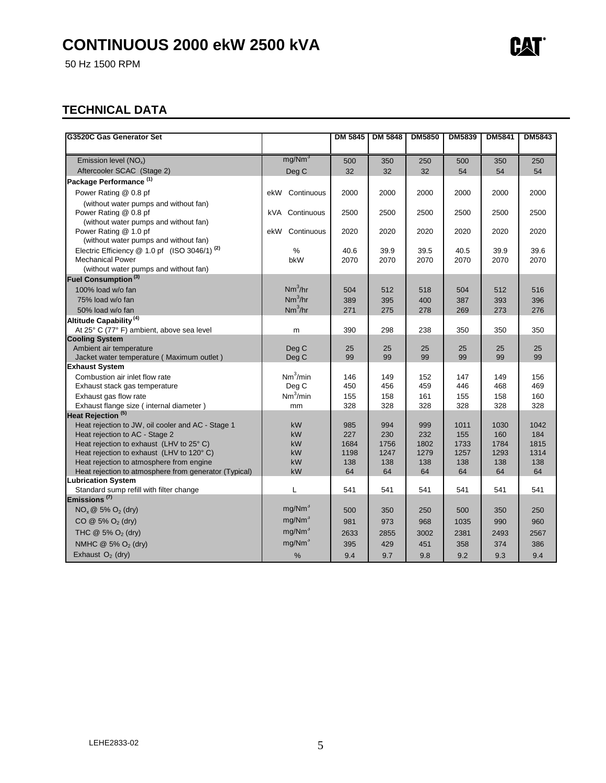50 Hz 1500 RPM

### **TECHNICAL DATA**

| G3520C Gas Generator Set                                                             |                      | <b>DM 5845</b> | <b>DM 5848</b> | <b>DM5850</b> | <b>DM5839</b> | <b>DM5841</b> | <b>DM5843</b> |
|--------------------------------------------------------------------------------------|----------------------|----------------|----------------|---------------|---------------|---------------|---------------|
| Emission level (NO <sub>x</sub> )                                                    | mg/Nm <sup>3</sup>   |                |                |               |               |               | 250           |
| Aftercooler SCAC (Stage 2)                                                           |                      | 500            | 350            | 250           | 500           | 350           |               |
|                                                                                      | Deg C                | 32             | 32             | 32            | 54            | 54            | 54            |
| Package Performance <sup>(1)</sup>                                                   |                      |                |                |               |               |               |               |
| Power Rating @ 0.8 pf                                                                | Continuous<br>ekW    | 2000           | 2000           | 2000          | 2000          | 2000          | 2000          |
| (without water pumps and without fan)                                                |                      |                |                |               |               |               |               |
| Power Rating @ 0.8 pf                                                                | kVA Continuous       | 2500           | 2500           | 2500          | 2500          | 2500          | 2500          |
| (without water pumps and without fan)                                                |                      |                |                |               |               |               |               |
| Power Rating @ 1.0 pf                                                                | Continuous<br>ekW    | 2020           | 2020           | 2020          | 2020          | 2020          | 2020          |
| (without water pumps and without fan)                                                |                      |                |                |               |               |               |               |
| Electric Efficiency $@ 1.0 \text{ pf}$ (ISO 3046/1) <sup>(2)</sup>                   | %                    | 40.6           | 39.9           | 39.5          | 40.5          | 39.9          | 39.6          |
| <b>Mechanical Power</b>                                                              | bkW                  | 2070           | 2070           | 2070          | 2070          | 2070          | 2070          |
| (without water pumps and without fan)                                                |                      |                |                |               |               |               |               |
| Fuel Consumption <sup>(3)</sup>                                                      |                      |                |                |               |               |               |               |
| 100% load w/o fan                                                                    | Nm <sup>3</sup> /hr  | 504            | 512            | 518           | 504           | 512           | 516           |
| 75% load w/o fan                                                                     | Nm <sup>3</sup> /hr  | 389            | 395            | 400           | 387           | 393           | 396           |
| 50% load w/o fan                                                                     | Nm <sup>3</sup> /hr  | 271            | 275            | 278           | 269           | 273           | 276           |
| Altitude Capability <sup>(4)</sup>                                                   |                      |                |                |               |               |               |               |
| At 25° C (77° F) ambient, above sea level                                            | m                    | 390            | 298            | 238           | 350           | 350           | 350           |
| <b>Cooling System</b>                                                                |                      |                |                |               |               |               |               |
| Ambient air temperature                                                              | Deg C                | 25             | 25             | 25            | 25            | 25            | 25            |
| Jacket water temperature (Maximum outlet)                                            | Deg C                | 99             | 99             | 99            | 99            | 99            | 99            |
| <b>Exhaust System</b>                                                                |                      |                |                |               |               |               |               |
| Combustion air inlet flow rate                                                       | Nm <sup>3</sup> /min | 146            | 149            | 152           | 147           | 149           | 156           |
| Exhaust stack gas temperature                                                        | Deg C                | 450            | 456            | 459           | 446           | 468           | 469           |
| Exhaust gas flow rate                                                                | Nm <sup>3</sup> /min | 155            | 158            | 161           | 155           | 158           | 160           |
| Exhaust flange size (internal diameter)                                              | mm                   | 328            | 328            | 328           | 328           | 328           | 328           |
| Heat Rejection <sup>(5)</sup>                                                        |                      |                |                |               |               |               |               |
| Heat rejection to JW, oil cooler and AC - Stage 1                                    | kW                   | 985            | 994            | 999           | 1011          | 1030          | 1042          |
| Heat rejection to AC - Stage 2                                                       | kW                   | 227            | 230            | 232           | 155           | 160           | 184           |
| Heat rejection to exhaust (LHV to 25° C)                                             | kW                   | 1684           | 1756           | 1802          | 1733          | 1784          | 1815          |
| Heat rejection to exhaust (LHV to 120°C)<br>Heat rejection to atmosphere from engine | kW<br>kW             | 1198<br>138    | 1247<br>138    | 1279<br>138   | 1257<br>138   | 1293<br>138   | 1314<br>138   |
| Heat rejection to atmosphere from generator (Typical)                                | kW                   | 64             | 64             | 64            | 64            | 64            | 64            |
| <b>Lubrication System</b>                                                            |                      |                |                |               |               |               |               |
| Standard sump refill with filter change                                              | L                    | 541            | 541            | 541           | 541           | 541           | 541           |
| Emissions <sup>(7)</sup>                                                             |                      |                |                |               |               |               |               |
| $NOx @ 5% O2 (dry)$                                                                  | mg/Nm <sup>3</sup>   | 500            | 350            | 250           | 500           | 350           | 250           |
| $CO @ 5\% O_2$ (dry)                                                                 | mg/Nm <sup>3</sup>   | 981            | 973            | 968           | 1035          | 990           | 960           |
| THC $@$ 5% $O2$ (dry)                                                                | mg/Nm <sup>3</sup>   | 2633           | 2855           | 3002          | 2381          | 2493          | 2567          |
| NMHC @ 5% O <sub>2</sub> (dry)                                                       | mg/Nm <sup>3</sup>   | 395            | 429            | 451           | 358           | 374           | 386           |
| Exhaust $O_2$ (dry)                                                                  | $\%$                 | 9.4            | 9.7            | 9.8           | 9.2           | 9.3           | 9.4           |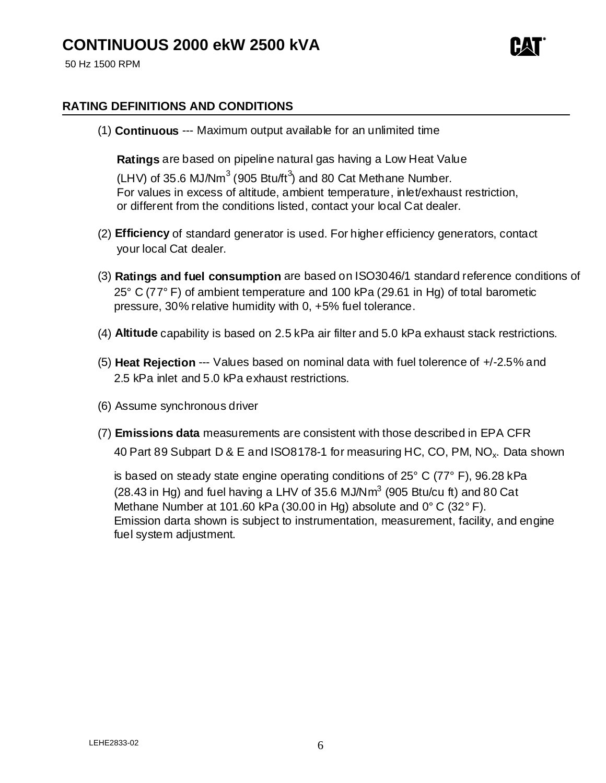

50 Hz 1500 RPM

### **RATING DEFINITIONS AND CONDITIONS**

(1) **Continuous** --- Maximum output available for an unlimited time

 **Ratings** are based on pipeline natural gas having a Low Heat Value (LHV) of 35.6 MJ/Nm<sup>3</sup> (905 Btu/ft<sup>3</sup>) and 80 Cat Methane Number. For values in excess of altitude, ambient temperature, inlet/exhaust restriction, or different from the conditions listed, contact your local Cat dealer.

- (2) **Efficiency** of standard generator is used. For higher efficiency generators, contact your local Cat dealer.
- (3) **Ratings and fuel consumption** are based on ISO3046/1 standard reference conditions of 25° C (77° F) of ambient temperature and 100 kPa (29.61 in Hg) of total barometic pressure, 30% relative humidity with 0, +5% fuel tolerance.
- (4) **Altitude** capability is based on 2.5 kPa air filter and 5.0 kPa exhaust stack restrictions.
- (5) **Heat Rejection** --- Values based on nominal data with fuel tolerence of +/-2.5% and 2.5 kPa inlet and 5.0 kPa exhaust restrictions.
- (6) Assume synchronous driver
- (7) **Emissions data** measurements are consistent with those described in EPA CFR 40 Part 89 Subpart D & E and ISO8178-1 for measuring HC, CO, PM, NO<sub>x</sub>. Data shown

 is based on steady state engine operating conditions of 25° C (77° F), 96.28 kPa (28.43 in Hg) and fuel having a LHV of 35.6 MJ/Nm<sup>3</sup> (905 Btu/cu ft) and 80 Cat Methane Number at 101.60 kPa (30.00 in Hg) absolute and 0° C (32° F). Emission darta shown is subject to instrumentation, measurement, facility, and engine fuel system adjustment.